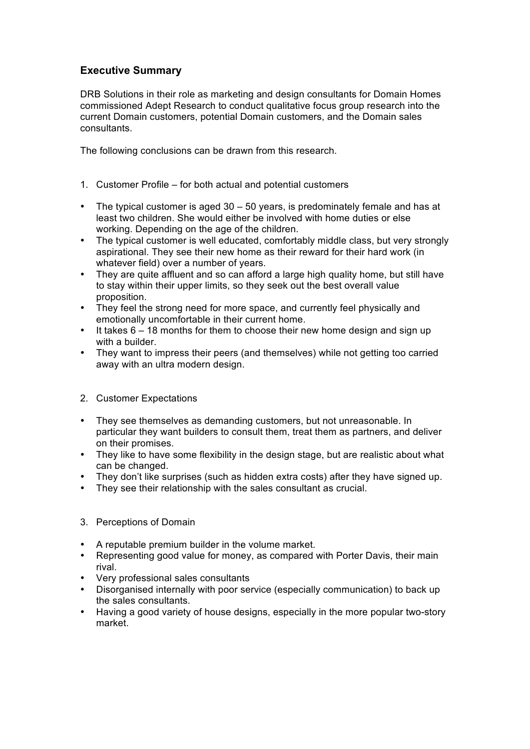## **Executive Summary**

DRB Solutions in their role as marketing and design consultants for Domain Homes commissioned Adept Research to conduct qualitative focus group research into the current Domain customers, potential Domain customers, and the Domain sales consultants.

The following conclusions can be drawn from this research.

- 1. Customer Profile for both actual and potential customers
- The typical customer is aged 30 50 years, is predominately female and has at least two children. She would either be involved with home duties or else working. Depending on the age of the children.
- The typical customer is well educated, comfortably middle class, but very strongly aspirational. They see their new home as their reward for their hard work (in whatever field) over a number of years.
- They are quite affluent and so can afford a large high quality home, but still have to stay within their upper limits, so they seek out the best overall value proposition.
- They feel the strong need for more space, and currently feel physically and emotionally uncomfortable in their current home.
- It takes 6 18 months for them to choose their new home design and sign up with a builder.
- They want to impress their peers (and themselves) while not getting too carried away with an ultra modern design.

## 2. Customer Expectations

- They see themselves as demanding customers, but not unreasonable. In particular they want builders to consult them, treat them as partners, and deliver on their promises.
- They like to have some flexibility in the design stage, but are realistic about what can be changed.
- They don't like surprises (such as hidden extra costs) after they have signed up.
- They see their relationship with the sales consultant as crucial.
- 3. Perceptions of Domain
- A reputable premium builder in the volume market.
- Representing good value for money, as compared with Porter Davis, their main rival.
- Very professional sales consultants
- Disorganised internally with poor service (especially communication) to back up the sales consultants.
- Having a good variety of house designs, especially in the more popular two-story market.